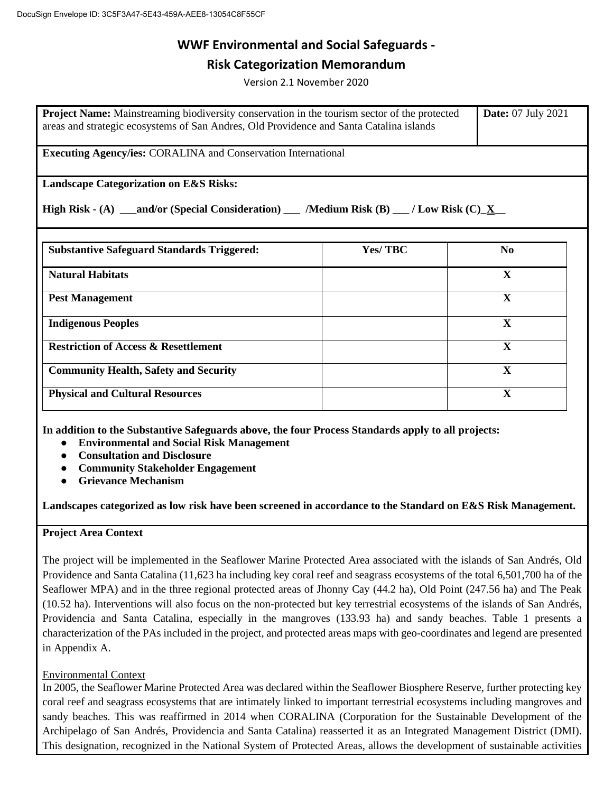# **WWF Environmental and Social Safeguards -**

### **Risk Categorization Memorandum**

Version 2.1 November 2020

| Project Name: Mainstreaming biodiversity conservation in the tourism sector of the protected<br>areas and strategic ecosystems of San Andres, Old Providence and Santa Catalina islands |         | <b>Date:</b> 07 July 2021 |  |  |
|-----------------------------------------------------------------------------------------------------------------------------------------------------------------------------------------|---------|---------------------------|--|--|
| <b>Executing Agency/ies: CORALINA and Conservation International</b>                                                                                                                    |         |                           |  |  |
| <b>Landscape Categorization on E&amp;S Risks:</b><br>High Risk - (A) __and/or (Special Consideration) __ /Medium Risk (B) __ / Low Risk (C) $\underline{X}$                             |         |                           |  |  |
| <b>Substantive Safeguard Standards Triggered:</b>                                                                                                                                       | Yes/TBC | N <sub>0</sub>            |  |  |
| <b>Natural Habitats</b>                                                                                                                                                                 |         | $\mathbf X$               |  |  |
| <b>Pest Management</b>                                                                                                                                                                  |         | X                         |  |  |
| <b>Indigenous Peoples</b>                                                                                                                                                               |         | X                         |  |  |
| <b>Restriction of Access &amp; Resettlement</b>                                                                                                                                         |         | $\mathbf X$               |  |  |
| <b>Community Health, Safety and Security</b>                                                                                                                                            |         | X                         |  |  |
| <b>Physical and Cultural Resources</b>                                                                                                                                                  |         | $\mathbf X$               |  |  |

**In addition to the Substantive Safeguards above, the four Process Standards apply to all projects:**

- **Environmental and Social Risk Management**
- **Consultation and Disclosure**
- **Community Stakeholder Engagement**
- **Grievance Mechanism**

**Landscapes categorized as low risk have been screened in accordance to the Standard on E&S Risk Management.**

### **Project Area Context**

The project will be implemented in the Seaflower Marine Protected Area associated with the islands of San Andrés, Old Providence and Santa Catalina (11,623 ha including key coral reef and seagrass ecosystems of the total 6,501,700 ha of the Seaflower MPA) and in the three regional protected areas of Jhonny Cay (44.2 ha), Old Point (247.56 ha) and The Peak (10.52 ha). Interventions will also focus on the non-protected but key terrestrial ecosystems of the islands of San Andrés, Providencia and Santa Catalina, especially in the mangroves (133.93 ha) and sandy beaches. Table 1 presents a characterization of the PAs included in the project, and protected areas maps with geo-coordinates and legend are presented in Appendix A.

### Environmental Context

In 2005, the Seaflower Marine Protected Area was declared within the Seaflower Biosphere Reserve, further protecting key coral reef and seagrass ecosystems that are intimately linked to important terrestrial ecosystems including mangroves and sandy beaches. This was reaffirmed in 2014 when CORALINA (Corporation for the Sustainable Development of the Archipelago of San Andrés, Providencia and Santa Catalina) reasserted it as an Integrated Management District (DMI). This designation, recognized in the National System of Protected Areas, allows the development of sustainable activities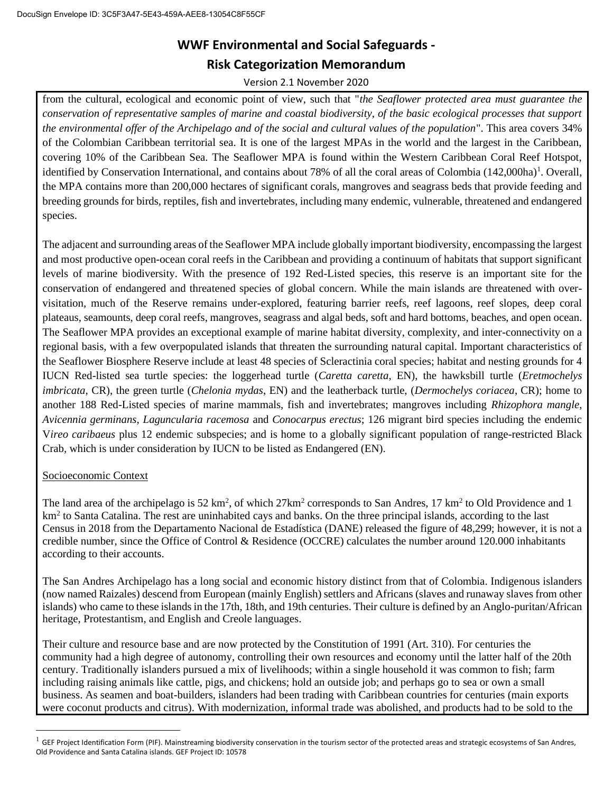# **WWF Environmental and Social Safeguards - Risk Categorization Memorandum**

#### Version 2.1 November 2020

from the cultural, ecological and economic point of view, such that "*the Seaflower protected area must guarantee the conservation of representative samples of marine and coastal biodiversity, of the basic ecological processes that support the environmental offer of the Archipelago and of the social and cultural values of the population*". This area covers 34% of the Colombian Caribbean territorial sea. It is one of the largest MPAs in the world and the largest in the Caribbean, covering 10% of the Caribbean Sea. The Seaflower MPA is found within the Western Caribbean Coral Reef Hotspot, identified by Conservation International, and contains about 78% of all the coral areas of Colombia (142,000ha)<sup>1</sup>. Overall, the MPA contains more than 200,000 hectares of significant corals, mangroves and seagrass beds that provide feeding and breeding grounds for birds, reptiles, fish and invertebrates, including many endemic, vulnerable, threatened and endangered species.

The adjacent and surrounding areas of the Seaflower MPA include globally important biodiversity, encompassing the largest and most productive open-ocean coral reefs in the Caribbean and providing a continuum of habitats that support significant levels of marine biodiversity. With the presence of 192 Red-Listed species, this reserve is an important site for the conservation of endangered and threatened species of global concern. While the main islands are threatened with overvisitation, much of the Reserve remains under-explored, featuring barrier reefs, reef lagoons, reef slopes, deep coral plateaus, seamounts, deep coral reefs, mangroves, seagrass and algal beds, soft and hard bottoms, beaches, and open ocean. The Seaflower MPA provides an exceptional example of marine habitat diversity, complexity, and inter-connectivity on a regional basis, with a few overpopulated islands that threaten the surrounding natural capital. Important characteristics of the Seaflower Biosphere Reserve include at least 48 species of Scleractinia coral species; habitat and nesting grounds for 4 IUCN Red-listed sea turtle species: the loggerhead turtle (*Caretta caretta*, EN), the hawksbill turtle (*Eretmochelys imbricata*, CR), the green turtle (*Chelonia mydas*, EN) and the leatherback turtle, (*Dermochelys coriacea*, CR); home to another 188 Red-Listed species of marine mammals, fish and invertebrates; mangroves including *Rhizophora mangle*, *Avicennia germinans*, *Laguncularia racemosa* and *Conocarpus erectus*; 126 migrant bird species including the endemic V*ireo caribaeus* plus 12 endemic subspecies; and is home to a globally significant population of range-restricted Black Crab, which is under consideration by IUCN to be listed as Endangered (EN).

### Socioeconomic Context

The land area of the archipelago is  $52 \text{ km}^2$ , of which  $27 \text{km}^2$  corresponds to San Andres, 17 km<sup>2</sup> to Old Providence and 1 km<sup>2</sup> to Santa Catalina. The rest are uninhabited cays and banks. On the three principal islands, according to the last Census in 2018 from the Departamento Nacional de Estadística (DANE) released the figure of 48,299; however, it is not a credible number, since the Office of Control & Residence (OCCRE) calculates the number around 120.000 inhabitants according to their accounts.

The San Andres Archipelago has a long social and economic history distinct from that of Colombia. Indigenous islanders (now named Raizales) descend from European (mainly English) settlers and Africans (slaves and runaway slaves from other islands) who came to these islands in the 17th, 18th, and 19th centuries. Their culture is defined by an Anglo-puritan/African heritage, Protestantism, and English and Creole languages.

Their culture and resource base and are now protected by the Constitution of 1991 (Art. 310). For centuries the community had a high degree of autonomy, controlling their own resources and economy until the latter half of the 20th century. Traditionally islanders pursued a mix of livelihoods; within a single household it was common to fish; farm including raising animals like cattle, pigs, and chickens; hold an outside job; and perhaps go to sea or own a small business. As seamen and boat-builders, islanders had been trading with Caribbean countries for centuries (main exports were coconut products and citrus). With modernization, informal trade was abolished, and products had to be sold to the

 $^1$  GEF Project Identification Form (PIF). Mainstreaming biodiversity conservation in the tourism sector of the protected areas and strategic ecosystems of San Andres, Old Providence and Santa Catalina islands. GEF Project ID: 10578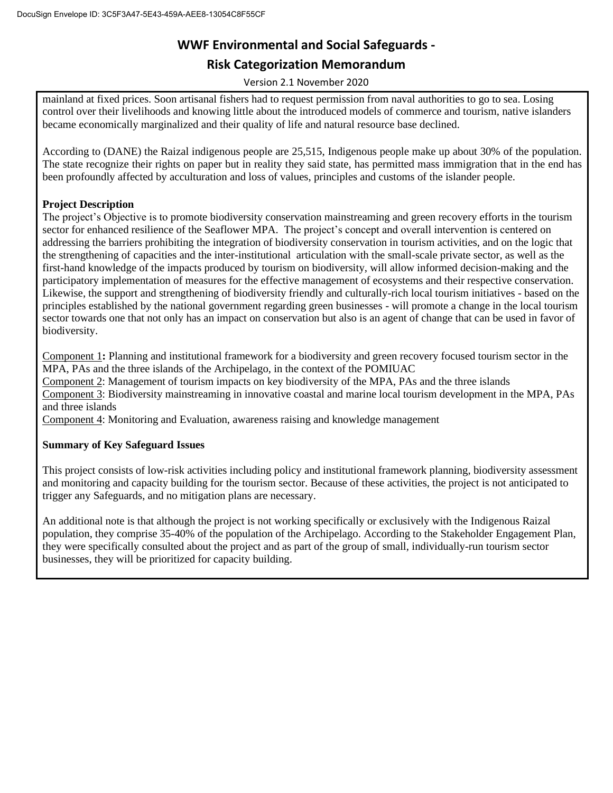## **WWF Environmental and Social Safeguards -**

### **Risk Categorization Memorandum**

Version 2.1 November 2020

mainland at fixed prices. Soon artisanal fishers had to request permission from naval authorities to go to sea. Losing control over their livelihoods and knowing little about the introduced models of commerce and tourism, native islanders became economically marginalized and their quality of life and natural resource base declined.

According to (DANE) the Raizal indigenous people are 25,515, Indigenous people make up about 30% of the population. The state recognize their rights on paper but in reality they said state, has permitted mass immigration that in the end has been profoundly affected by acculturation and loss of values, principles and customs of the islander people.

### **Project Description**

The project's Objective is to promote biodiversity conservation mainstreaming and green recovery efforts in the tourism sector for enhanced resilience of the Seaflower MPA. The project's concept and overall intervention is centered on addressing the barriers prohibiting the integration of biodiversity conservation in tourism activities, and on the logic that the strengthening of capacities and the inter-institutional articulation with the small-scale private sector, as well as the first-hand knowledge of the impacts produced by tourism on biodiversity, will allow informed decision-making and the participatory implementation of measures for the effective management of ecosystems and their respective conservation. Likewise, the support and strengthening of biodiversity friendly and culturally-rich local tourism initiatives - based on the principles established by the national government regarding green businesses - will promote a change in the local tourism sector towards one that not only has an impact on conservation but also is an agent of change that can be used in favor of biodiversity.

Component 1**:** Planning and institutional framework for a biodiversity and green recovery focused tourism sector in the MPA, PAs and the three islands of the Archipelago, in the context of the POMIUAC

Component 2: Management of tourism impacts on key biodiversity of the MPA, PAs and the three islands

Component 3: Biodiversity mainstreaming in innovative coastal and marine local tourism development in the MPA, PAs and three islands

Component 4: Monitoring and Evaluation, awareness raising and knowledge management

### **Summary of Key Safeguard Issues**

This project consists of low-risk activities including policy and institutional framework planning, biodiversity assessment and monitoring and capacity building for the tourism sector. Because of these activities, the project is not anticipated to trigger any Safeguards, and no mitigation plans are necessary.

An additional note is that although the project is not working specifically or exclusively with the Indigenous Raizal population, they comprise 35-40% of the population of the Archipelago. According to the Stakeholder Engagement Plan, they were specifically consulted about the project and as part of the group of small, individually-run tourism sector businesses, they will be prioritized for capacity building.